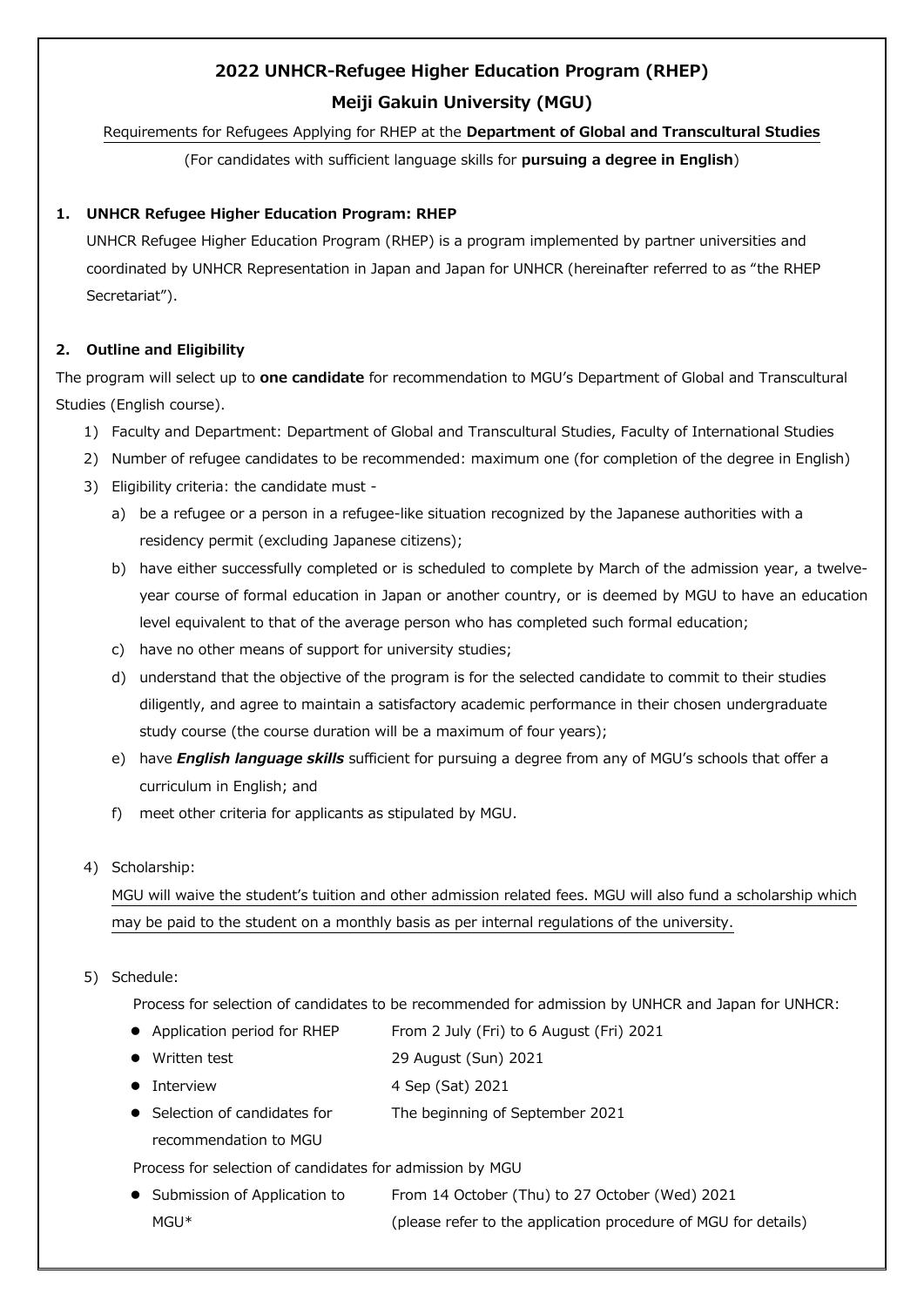# **2022 UNHCR-Refugee Higher Education Program (RHEP) Meiji Gakuin University (MGU)**

# Requirements for Refugees Applying for RHEP at the **Department of Global and Transcultural Studies**

(For candidates with sufficient language skills for **pursuing a degree in English**)

# **1. UNHCR Refugee Higher Education Program: RHEP**

UNHCR Refugee Higher Education Program (RHEP) is a program implemented by partner universities and coordinated by UNHCR Representation in Japan and Japan for UNHCR (hereinafter referred to as "the RHEP Secretariat").

# **2. Outline and Eligibility**

The program will select up to **one candidate** for recommendation to MGU's Department of Global and Transcultural Studies (English course).

- 1) Faculty and Department: Department of Global and Transcultural Studies, Faculty of International Studies
- 2) Number of refugee candidates to be recommended: maximum one (for completion of the degree in English)
- 3) Eligibility criteria: the candidate must
	- a) be a refugee or a person in a refugee-like situation recognized by the Japanese authorities with a residency permit (excluding Japanese citizens);
	- b) have either successfully completed or is scheduled to complete by March of the admission year, a twelveyear course of formal education in Japan or another country, or is deemed by MGU to have an education level equivalent to that of the average person who has completed such formal education;
	- c) have no other means of support for university studies;
	- d) understand that the objective of the program is for the selected candidate to commit to their studies diligently, and agree to maintain a satisfactory academic performance in their chosen undergraduate study course (the course duration will be a maximum of four years);
	- e) have *English language skills* sufficient for pursuing a degree from any of MGU's schools that offer a curriculum in English; and
	- f) meet other criteria for applicants as stipulated by MGU.

## 4) Scholarship:

MGU will waive the student's tuition and other admission related fees. MGU will also fund a scholarship which may be paid to the student on a monthly basis as per internal regulations of the university.

## 5) Schedule:

Process for selection of candidates to be recommended for admission by UNHCR and Japan for UNHCR:

- Application period for RHEP From 2 July (Fri) to 6 August (Fri) 2021
- Written test 29 August (Sun) 2021
- Interview 4 Sep (Sat) 2021
- **Selection of candidates for** recommendation to MGU The beginning of September 2021

Process for selection of candidates for admission by MGU

• Submission of Application to MGU\* From 14 October (Thu) to 27 October (Wed) 2021 (please refer to the application procedure of MGU for details)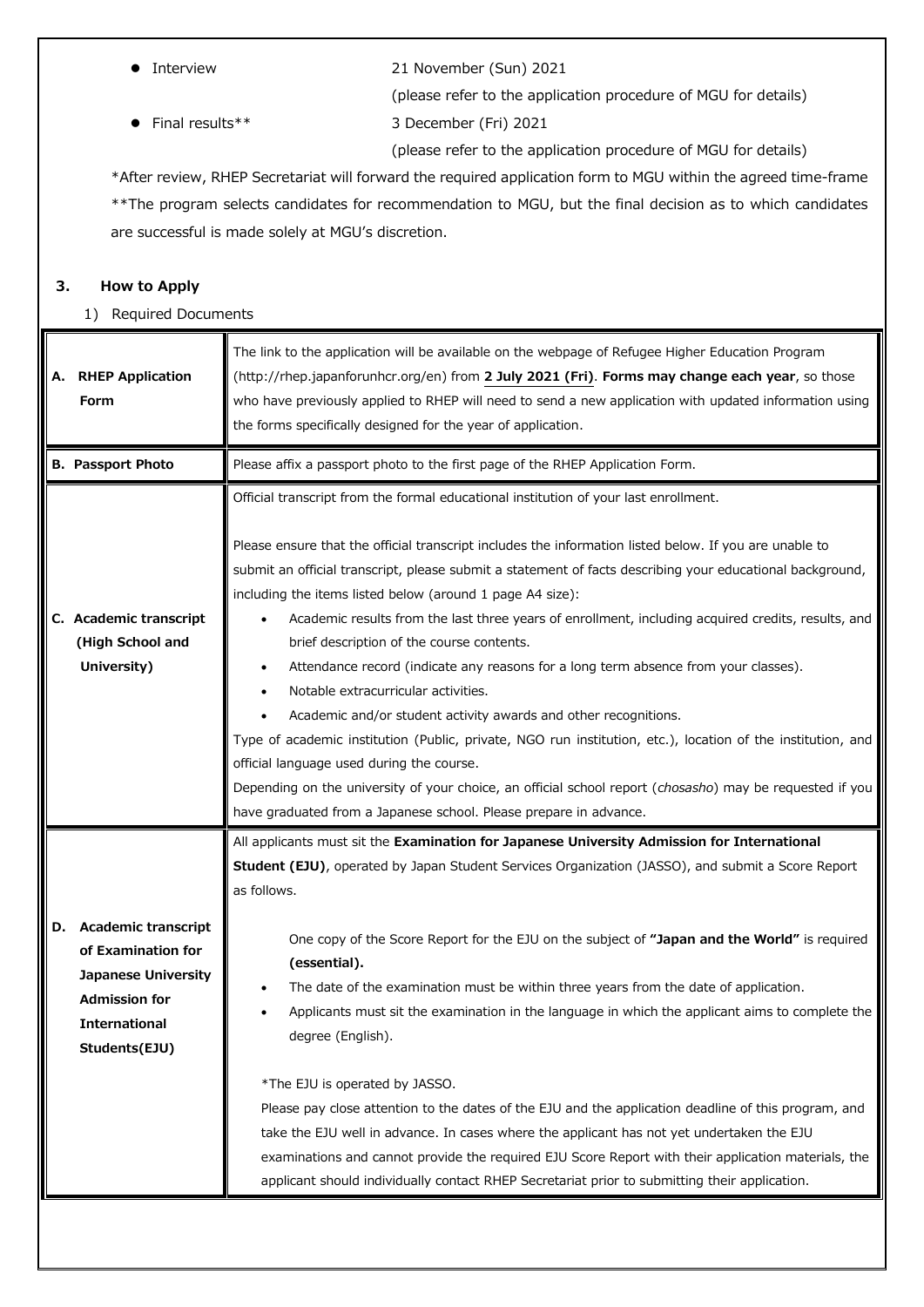Final results\*\* 3 December (Fri) 2021

Interview 21 November (Sun) 2021

(please refer to the application procedure of MGU for details)

(please refer to the application procedure of MGU for details)

\*After review, RHEP Secretariat will forward the required application form to MGU within the agreed time-frame \*\*The program selects candidates for recommendation to MGU, but the final decision as to which candidates are successful is made solely at MGU's discretion.

## **3. How to Apply**

1) Required Documents

| Α. | <b>RHEP Application</b><br>Form                                                                                                                 | The link to the application will be available on the webpage of Refugee Higher Education Program<br>(http://rhep.japanforunhcr.org/en) from 2 July 2021 (Fri). Forms may change each year, so those<br>who have previously applied to RHEP will need to send a new application with updated information using<br>the forms specifically designed for the year of application.                                                                                                                                                                                                                                                                                                                                                                                                                                                                                                                                                                                                                                                                                             |
|----|-------------------------------------------------------------------------------------------------------------------------------------------------|---------------------------------------------------------------------------------------------------------------------------------------------------------------------------------------------------------------------------------------------------------------------------------------------------------------------------------------------------------------------------------------------------------------------------------------------------------------------------------------------------------------------------------------------------------------------------------------------------------------------------------------------------------------------------------------------------------------------------------------------------------------------------------------------------------------------------------------------------------------------------------------------------------------------------------------------------------------------------------------------------------------------------------------------------------------------------|
|    | <b>B. Passport Photo</b>                                                                                                                        | Please affix a passport photo to the first page of the RHEP Application Form.                                                                                                                                                                                                                                                                                                                                                                                                                                                                                                                                                                                                                                                                                                                                                                                                                                                                                                                                                                                             |
|    | C. Academic transcript<br>(High School and<br>University)                                                                                       | Official transcript from the formal educational institution of your last enrollment.<br>Please ensure that the official transcript includes the information listed below. If you are unable to<br>submit an official transcript, please submit a statement of facts describing your educational background,<br>including the items listed below (around 1 page A4 size):<br>Academic results from the last three years of enrollment, including acquired credits, results, and<br>brief description of the course contents.<br>Attendance record (indicate any reasons for a long term absence from your classes).<br>Notable extracurricular activities.<br>Academic and/or student activity awards and other recognitions.<br>Type of academic institution (Public, private, NGO run institution, etc.), location of the institution, and<br>official language used during the course.<br>Depending on the university of your choice, an official school report (chosasho) may be requested if you<br>have graduated from a Japanese school. Please prepare in advance. |
| D. | <b>Academic transcript</b><br>of Examination for<br><b>Japanese University</b><br><b>Admission for</b><br><b>International</b><br>Students(EJU) | All applicants must sit the Examination for Japanese University Admission for International<br>Student (EJU), operated by Japan Student Services Organization (JASSO), and submit a Score Report<br>as follows.<br>One copy of the Score Report for the EJU on the subject of "Japan and the World" is required<br>(essential).<br>The date of the examination must be within three years from the date of application.<br>Applicants must sit the examination in the language in which the applicant aims to complete the<br>degree (English).<br>*The EJU is operated by JASSO.<br>Please pay close attention to the dates of the EJU and the application deadline of this program, and<br>take the EJU well in advance. In cases where the applicant has not yet undertaken the EJU<br>examinations and cannot provide the required EJU Score Report with their application materials, the<br>applicant should individually contact RHEP Secretariat prior to submitting their application.                                                                            |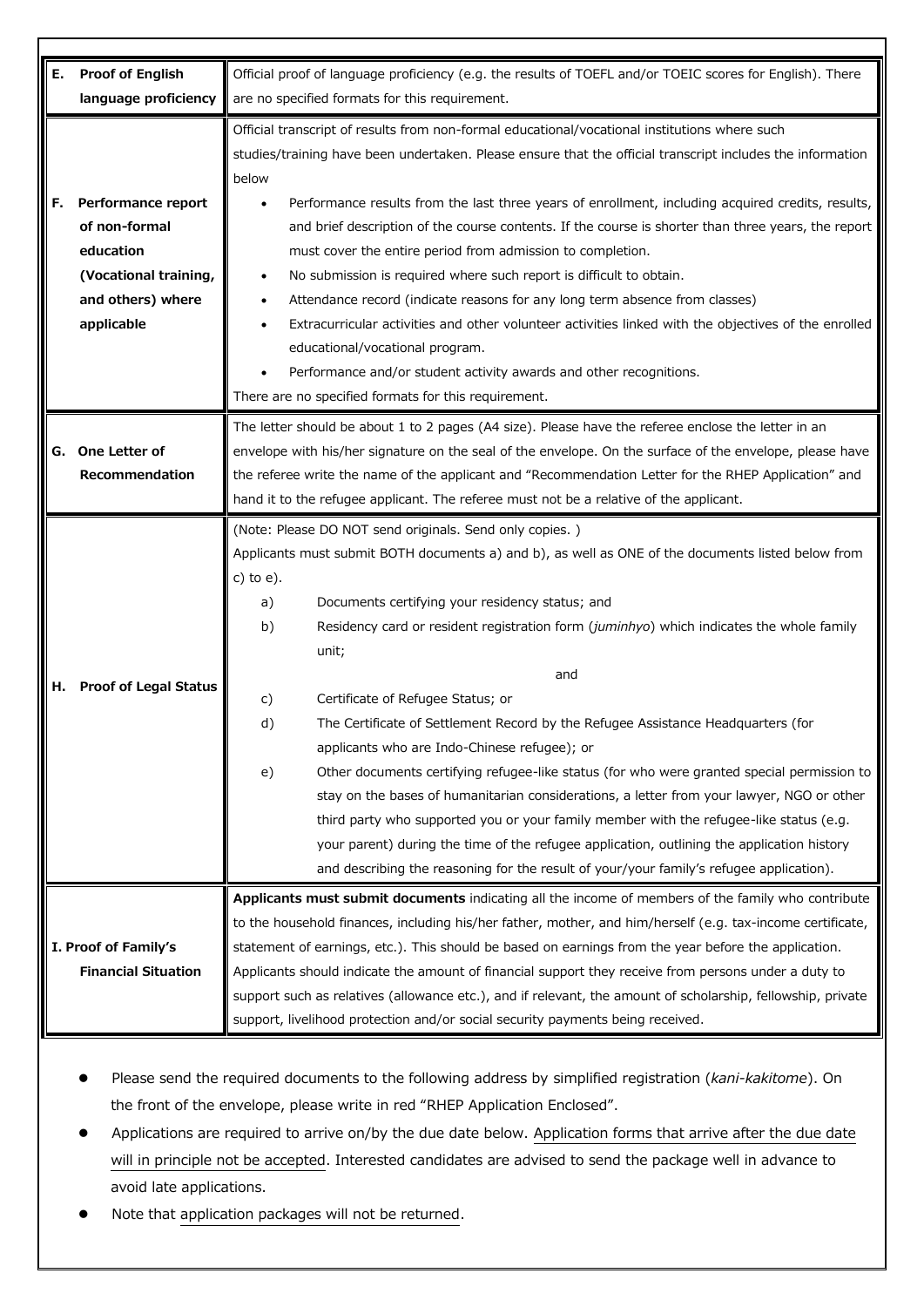| Е. | <b>Proof of English</b>      | Official proof of language proficiency (e.g. the results of TOEFL and/or TOEIC scores for English). There                                                                             |
|----|------------------------------|---------------------------------------------------------------------------------------------------------------------------------------------------------------------------------------|
|    | language proficiency         | are no specified formats for this requirement.                                                                                                                                        |
|    |                              |                                                                                                                                                                                       |
|    |                              | Official transcript of results from non-formal educational/vocational institutions where such                                                                                         |
|    |                              | studies/training have been undertaken. Please ensure that the official transcript includes the information                                                                            |
|    |                              | below                                                                                                                                                                                 |
| F. | Performance report           | Performance results from the last three years of enrollment, including acquired credits, results,                                                                                     |
|    | of non-formal                | and brief description of the course contents. If the course is shorter than three years, the report                                                                                   |
|    | education                    | must cover the entire period from admission to completion.                                                                                                                            |
|    | (Vocational training,        | No submission is required where such report is difficult to obtain.                                                                                                                   |
|    | and others) where            | Attendance record (indicate reasons for any long term absence from classes)                                                                                                           |
|    | applicable                   | Extracurricular activities and other volunteer activities linked with the objectives of the enrolled                                                                                  |
|    |                              | educational/vocational program.                                                                                                                                                       |
|    |                              | Performance and/or student activity awards and other recognitions.                                                                                                                    |
|    |                              | There are no specified formats for this requirement.                                                                                                                                  |
|    |                              | The letter should be about 1 to 2 pages (A4 size). Please have the referee enclose the letter in an                                                                                   |
| G. | One Letter of                | envelope with his/her signature on the seal of the envelope. On the surface of the envelope, please have                                                                              |
|    | Recommendation               | the referee write the name of the applicant and "Recommendation Letter for the RHEP Application" and                                                                                  |
|    |                              | hand it to the refugee applicant. The referee must not be a relative of the applicant.                                                                                                |
|    |                              | (Note: Please DO NOT send originals. Send only copies.)                                                                                                                               |
|    |                              | Applicants must submit BOTH documents a) and b), as well as ONE of the documents listed below from                                                                                    |
|    |                              | $c)$ to $e)$ .                                                                                                                                                                        |
|    |                              | Documents certifying your residency status; and<br>a)                                                                                                                                 |
|    |                              | Residency card or resident registration form (juminhyo) which indicates the whole family<br>b)                                                                                        |
|    |                              | unit;                                                                                                                                                                                 |
| н. | <b>Proof of Legal Status</b> | and                                                                                                                                                                                   |
|    |                              | Certificate of Refugee Status; or<br>c)                                                                                                                                               |
|    |                              | The Certificate of Settlement Record by the Refugee Assistance Headquarters (for<br>d)                                                                                                |
|    |                              | applicants who are Indo-Chinese refugee); or                                                                                                                                          |
|    |                              | Other documents certifying refugee-like status (for who were granted special permission to<br>e)                                                                                      |
|    |                              | stay on the bases of humanitarian considerations, a letter from your lawyer, NGO or other                                                                                             |
|    |                              | third party who supported you or your family member with the refugee-like status (e.g.                                                                                                |
|    |                              | your parent) during the time of the refugee application, outlining the application history<br>and describing the reasoning for the result of your/your family's refugee application). |
|    |                              |                                                                                                                                                                                       |
|    |                              | Applicants must submit documents indicating all the income of members of the family who contribute                                                                                    |
|    |                              | to the household finances, including his/her father, mother, and him/herself (e.g. tax-income certificate,                                                                            |
|    | I. Proof of Family's         | statement of earnings, etc.). This should be based on earnings from the year before the application.                                                                                  |
|    | <b>Financial Situation</b>   | Applicants should indicate the amount of financial support they receive from persons under a duty to                                                                                  |
|    |                              | support such as relatives (allowance etc.), and if relevant, the amount of scholarship, fellowship, private                                                                           |
|    |                              | support, livelihood protection and/or social security payments being received.                                                                                                        |

- Please send the required documents to the following address by simplified registration (*kani-kakitome*). On the front of the envelope, please write in red "RHEP Application Enclosed".
- Applications are required to arrive on/by the due date below. Application forms that arrive after the due date will in principle not be accepted. Interested candidates are advised to send the package well in advance to avoid late applications.
- Note that application packages will not be returned.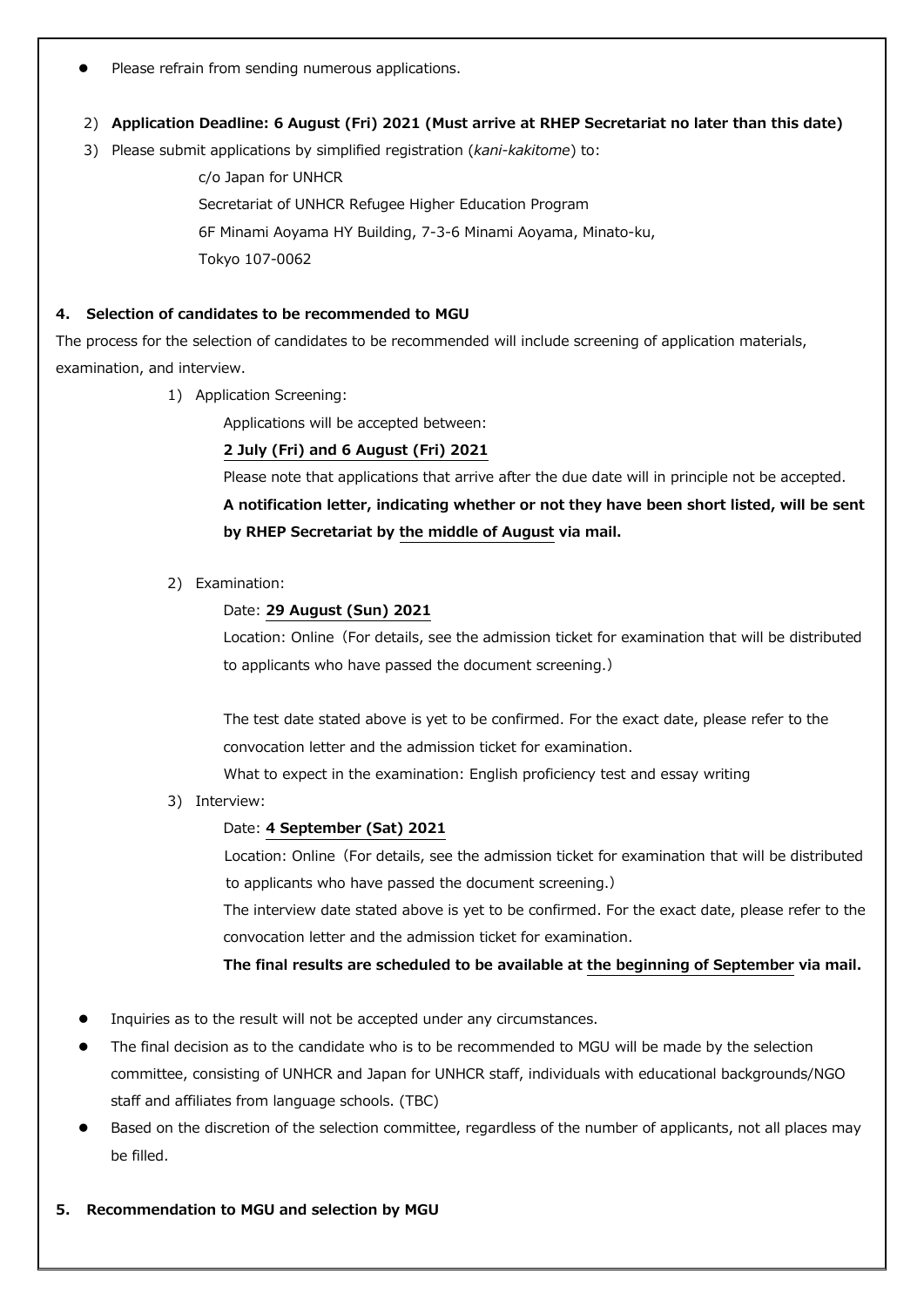Please refrain from sending numerous applications.

#### 2) **Application Deadline: 6 August (Fri) 2021 (Must arrive at RHEP Secretariat no later than this date)**

3) Please submit applications by simplified registration (*kani-kakitome*) to:

c/o Japan for UNHCR Secretariat of UNHCR Refugee Higher Education Program 6F Minami Aoyama HY Building, 7-3-6 Minami Aoyama, Minato-ku, Tokyo 107-0062

#### **4. Selection of candidates to be recommended to MGU**

The process for the selection of candidates to be recommended will include screening of application materials, examination, and interview.

1) Application Screening:

Applications will be accepted between:

#### **2 July (Fri) and 6 August (Fri) 2021**

Please note that applications that arrive after the due date will in principle not be accepted.

**A notification letter, indicating whether or not they have been short listed, will be sent by RHEP Secretariat by the middle of August via mail.**

2) Examination:

#### Date: **29 August (Sun) 2021**

Location: Online (For details, see the admission ticket for examination that will be distributed to applicants who have passed the document screening.)

The test date stated above is yet to be confirmed. For the exact date, please refer to the convocation letter and the admission ticket for examination.

What to expect in the examination: English proficiency test and essay writing

3) Interview:

## Date: **4 September (Sat) 2021**

Location: Online (For details, see the admission ticket for examination that will be distributed to applicants who have passed the document screening.)

The interview date stated above is yet to be confirmed. For the exact date, please refer to the convocation letter and the admission ticket for examination.

**The final results are scheduled to be available at the beginning of September via mail.**

- Inquiries as to the result will not be accepted under any circumstances.
- The final decision as to the candidate who is to be recommended to MGU will be made by the selection committee, consisting of UNHCR and Japan for UNHCR staff, individuals with educational backgrounds/NGO staff and affiliates from language schools. (TBC)
- Based on the discretion of the selection committee, regardless of the number of applicants, not all places may be filled.
- **5. Recommendation to MGU and selection by MGU**